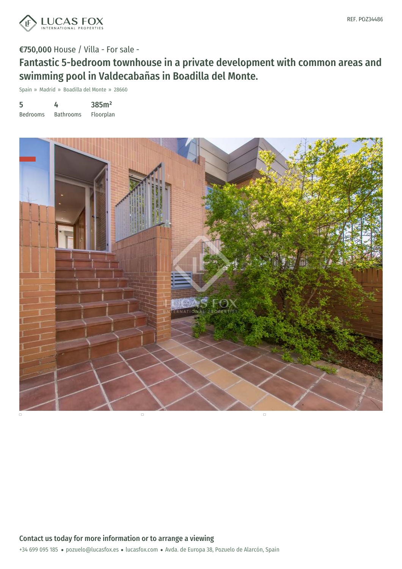

Fantastic 5-bedroom townhouse in a private development with common areas and swimming pool in Valdecabañas in Boadilla del Monte.

Spain » Madrid » Boadilla del Monte » 28660

| 5               | 4                | 385m <sup>2</sup> |
|-----------------|------------------|-------------------|
| <b>Bedrooms</b> | <b>Bathrooms</b> | Floorplan         |

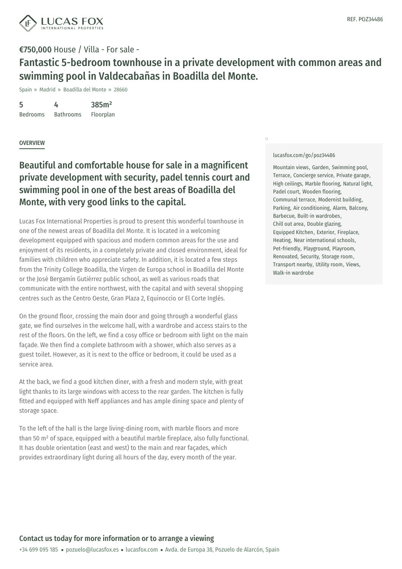

Fantastic 5-bedroom townhouse in a private development with common areas and swimming pool in Valdecabañas in Boadilla del Monte.

Spain » Madrid » Boadilla del Monte » 28660

5 Bedrooms 4 Bathrooms 385m² Floorplan

## **OVERVIEW**

## Beautiful and comfortable house for sale in a magnificent private development with security, padel tennis court and swimming pool in one of the best areas of Boadilla del Monte, with very good links to the capital.

Lucas Fox International Properties is proud to present this wonderful townhouse in one of the newest areas of Boadilla del Monte. It is located in a welcoming development equipped with spacious and modern common areas for the use and enjoyment of its residents, in a completely private and closed environment, ideal for families with children who appreciate safety. In addition, it is located a few steps from the Trinity College Boadilla, the Virgen de Europa school in Boadilla del Monte or the José Bergamín Gutiérrez public school, as well as various roads that communicate with the entire northwest, with the capital and with several shopping centres such as the Centro Oeste, Gran Plaza 2, Equinoccio or El Corte Inglés.

On the ground floor, crossing the main door and going through a wonderful glass gate, we find ourselves in the welcome hall, with a wardrobe and access stairs to the rest of the floors. On the left, we find a cosy office or bedroom with light on the main façade. We then find a complete bathroom with a shower, which also serves as a guest toilet. However, as it is next to the office or bedroom, it could be used as a service area.

At the back, we find a good kitchen diner, with a fresh and modern style, with great light thanks to its large windows with access to the rear garden. The kitchen is fully fitted and equipped with Neff appliances and has ample dining space and plenty of storage space.

To the left of the hall is the large living-dining room, with marble floors and more than 50 m² of space, equipped with a beautiful marble fireplace, also fully functional. It has double orientation (east and west) to the main and rear façades, which provides extraordinary light during all hours of the day, every month of the year.

#### [lucasfox.com/go/poz34486](https://www.lucasfox.com/go/poz34486)

 $\Box$ 

Mountain views, Garden, Swimming pool, Terrace, Concierge service, Private garage, High ceilings, Marble flooring, Natural light, Padel court, Wooden flooring, Communal terrace, Modernist building, Parking, Air conditioning, Alarm, Balcony, Barbecue, Built-in wardrobes, Chill out area, Double glazing, Equipped Kitchen, Exterior, Fireplace, Heating, Near international schools, Pet-friendly, Playground, Playroom, Renovated, Security, Storage room, Transport nearby, Utility room, Views, Walk-in wardrobe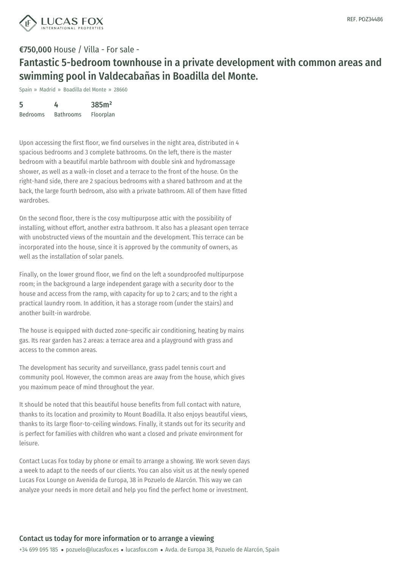

Fantastic 5-bedroom townhouse in a private development with common areas and swimming pool in Valdecabañas in Boadilla del Monte.

Spain » Madrid » Boadilla del Monte » 28660

| 5               | 4                | 385m <sup>2</sup> |
|-----------------|------------------|-------------------|
| <b>Bedrooms</b> | <b>Bathrooms</b> | Floorplan         |

Upon accessing the first floor, we find ourselves in the night area, distributed in 4 spacious bedrooms and 3 complete bathrooms. On the left, there is the master bedroom with a beautiful marble bathroom with double sink and hydromassage shower, as well as a walk-in closet and a terrace to the front of the house. On the right-hand side, there are 2 spacious bedrooms with a shared bathroom and at the back, the large fourth bedroom, also with a private bathroom. All of them have fitted wardrobes.

On the second floor, there is the cosy multipurpose attic with the possibility of installing, without effort, another extra bathroom. It also has a pleasant open terrace with unobstructed views of the mountain and the development. This terrace can be incorporated into the house, since it is approved by the community of owners, as well as the installation of solar panels.

Finally, on the lower ground floor, we find on the left a soundproofed multipurpose room; in the background a large independent garage with a security door to the house and access from the ramp, with capacity for up to 2 cars; and to the right a practical laundry room. In addition, it has a storage room (under the stairs) and another built-in wardrobe.

The house is equipped with ducted zone-specific air conditioning, heating by mains gas. Its rear garden has 2 areas: a terrace area and a playground with grass and access to the common areas.

The development has security and surveillance, grass padel tennis court and community pool. However, the common areas are away from the house, which gives you maximum peace of mind throughout the year.

It should be noted that this beautiful house benefits from full contact with nature, thanks to its location and [proximity](mailto:pozuelo@lucasfox.es) to Mount [Boadil](https://www.lucasfox.com)la. It also enjoys beautiful views, thanks to its large floor-to-ceiling windows. Finally, it stands out for its security and is perfect for families with children who want a closed and private environment for leisure.

Contact Lucas Fox today by phone or email to arrange a showing. We work seven days a week to adapt to the needs of our clients. You can also visit us at the newly opened Lucas Fox Lounge on Avenida de Europa, 38 in Pozuelo de Alarcón. This way we can analyze your needs in more detail and help you find the perfect home or investment.

### Contact us today for more information or to arrange a viewing

+34 699 095 185 · pozuelo@lucasfox.es · lucasfox.com · Avda. de Europa 38, Pozuelo de Alarcón, Spain